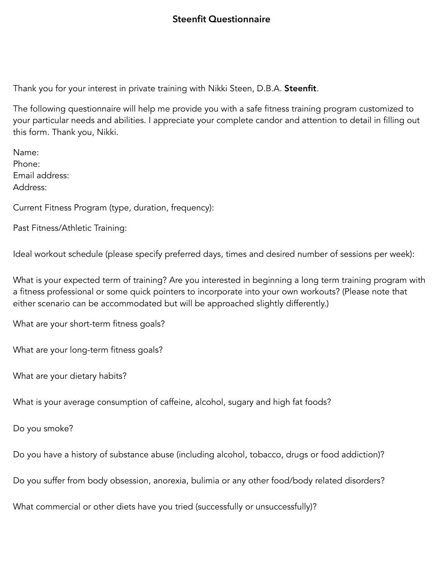## **Steenfit Questionnaire**

Thank you for your interest in private training with Nikki Steen, D.B.A. Steenfit.

The following questionnaire will help me provide you with a safe fitness training program customized to your particular needs and abilities. I appreciate your complete candor and attention to detail in filling out this form. Thank you, Nikki.

Name: Phone: Email address: Address:

Current Fitness Program (type, duration, frequency):

Past Fitness/Athletic Training:

Ideal workout schedule (please specify preferred days, times and desired number of sessions per week):

What is your expected term of training? Are you interested in beginning a long term training program with a fitness professional or some quick pointers to incorporate into your own workouts? (Please note that either scenario can be accommodated but will be approached slightly differently.)

What are your short-term fitness goals?

What are your long-term fitness goals?

What are your dietary habits?

What is your average consumption of caffeine, alcohol, sugary and high fat foods?

Do you smoke?

Do you have a history of substance abuse (including alcohol, tobacco, drugs or food addiction)?

Do you suffer from body obsession, anorexia, bulimia or any other food/body related disorders?

What commercial or other diets have you tried (successfully or unsuccessfully)?